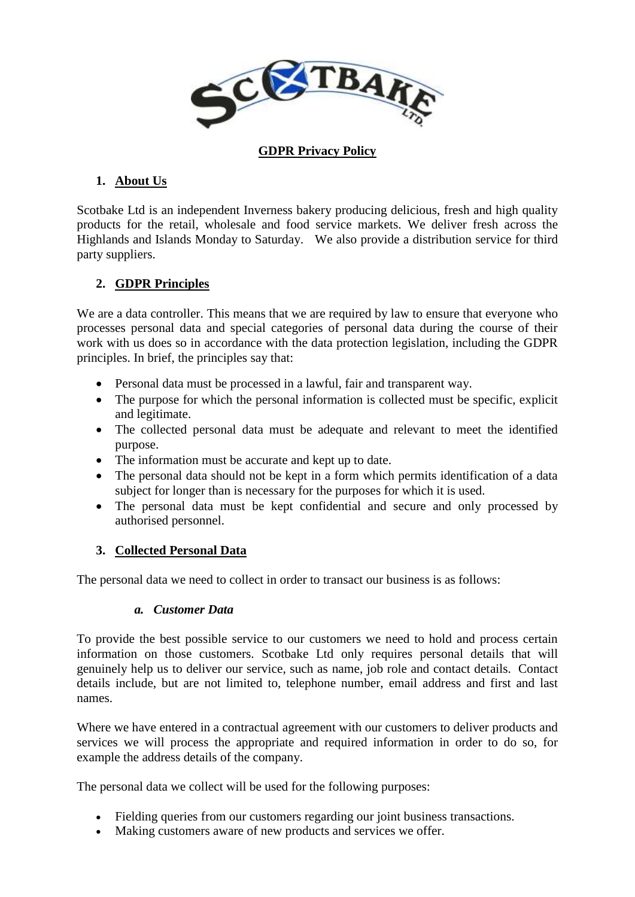

#### **GDPR Privacy Policy**

## **1. About Us**

Scotbake Ltd is an independent Inverness bakery producing delicious, fresh and high quality products for the retail, wholesale and food service markets. We deliver fresh across the Highlands and Islands Monday to Saturday. We also provide a distribution service for third party suppliers.

# **2. GDPR Principles**

We are a data controller. This means that we are required by law to ensure that everyone who processes personal data and special categories of personal data during the course of their work with us does so in accordance with the data protection legislation, including the GDPR principles. In brief, the principles say that:

- Personal data must be processed in a lawful, fair and transparent way.
- The purpose for which the personal information is collected must be specific, explicit and legitimate.
- The collected personal data must be adequate and relevant to meet the identified purpose.
- The information must be accurate and kept up to date.
- The personal data should not be kept in a form which permits identification of a data subject for longer than is necessary for the purposes for which it is used.
- The personal data must be kept confidential and secure and only processed by authorised personnel.

### **3. Collected Personal Data**

The personal data we need to collect in order to transact our business is as follows:

### *a. Customer Data*

To provide the best possible service to our customers we need to hold and process certain information on those customers. Scotbake Ltd only requires personal details that will genuinely help us to deliver our service, such as name, job role and contact details. Contact details include, but are not limited to, telephone number, email address and first and last names.

Where we have entered in a contractual agreement with our customers to deliver products and services we will process the appropriate and required information in order to do so, for example the address details of the company.

The personal data we collect will be used for the following purposes:

- Fielding queries from our customers regarding our joint business transactions.
- Making customers aware of new products and services we offer.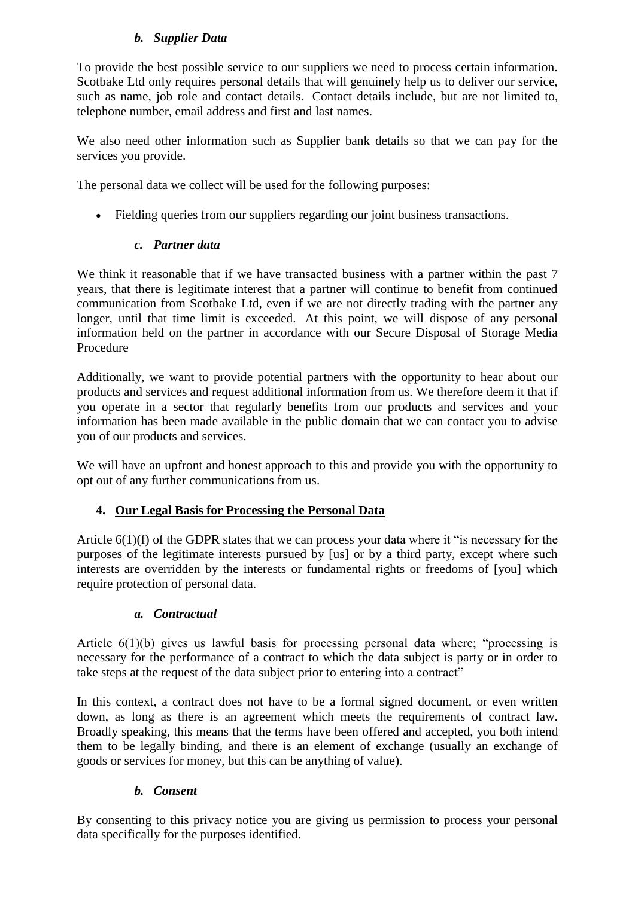# *b. Supplier Data*

To provide the best possible service to our suppliers we need to process certain information. Scotbake Ltd only requires personal details that will genuinely help us to deliver our service, such as name, job role and contact details. Contact details include, but are not limited to, telephone number, email address and first and last names.

We also need other information such as Supplier bank details so that we can pay for the services you provide.

The personal data we collect will be used for the following purposes:

Fielding queries from our suppliers regarding our joint business transactions.

# *c. Partner data*

We think it reasonable that if we have transacted business with a partner within the past 7 years, that there is legitimate interest that a partner will continue to benefit from continued communication from Scotbake Ltd, even if we are not directly trading with the partner any longer, until that time limit is exceeded. At this point, we will dispose of any personal information held on the partner in accordance with our Secure Disposal of Storage Media Procedure

Additionally, we want to provide potential partners with the opportunity to hear about our products and services and request additional information from us. We therefore deem it that if you operate in a sector that regularly benefits from our products and services and your information has been made available in the public domain that we can contact you to advise you of our products and services.

We will have an upfront and honest approach to this and provide you with the opportunity to opt out of any further communications from us.

# **4. Our Legal Basis for Processing the Personal Data**

Article 6(1)(f) of the GDPR states that we can process your data where it "is necessary for the purposes of the legitimate interests pursued by [us] or by a third party, except where such interests are overridden by the interests or fundamental rights or freedoms of [you] which require protection of personal data.

# *a. Contractual*

Article 6(1)(b) gives us lawful basis for processing personal data where; "processing is necessary for the performance of a contract to which the data subject is party or in order to take steps at the request of the data subject prior to entering into a contract"

In this context, a contract does not have to be a formal signed document, or even written down, as long as there is an agreement which meets the requirements of contract law. Broadly speaking, this means that the terms have been offered and accepted, you both intend them to be legally binding, and there is an element of exchange (usually an exchange of goods or services for money, but this can be anything of value).

# *b. Consent*

By consenting to this privacy notice you are giving us permission to process your personal data specifically for the purposes identified.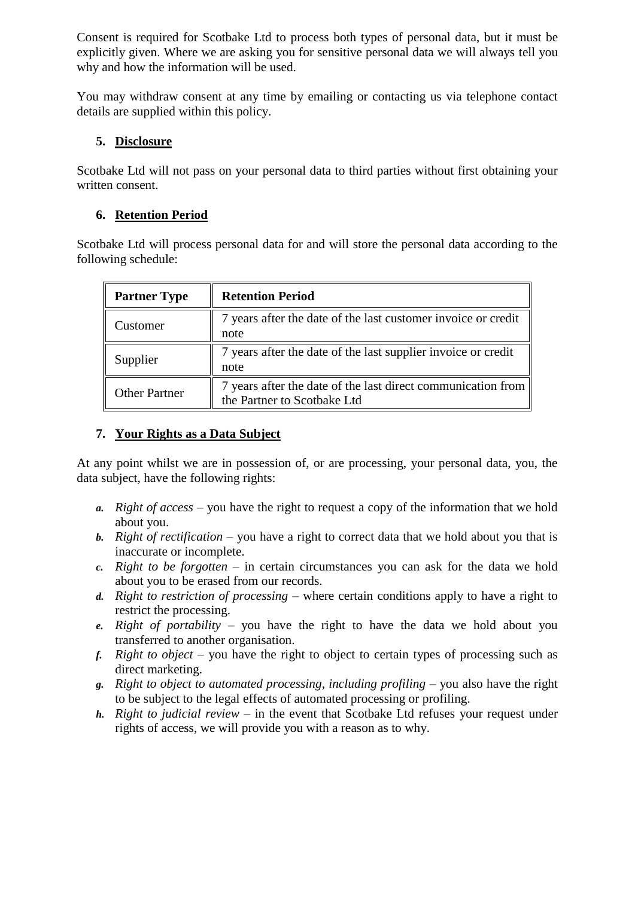Consent is required for Scotbake Ltd to process both types of personal data, but it must be explicitly given. Where we are asking you for sensitive personal data we will always tell you why and how the information will be used.

You may withdraw consent at any time by emailing or contacting us via telephone contact details are supplied within this policy.

### **5. Disclosure**

Scotbake Ltd will not pass on your personal data to third parties without first obtaining your written consent.

## **6. Retention Period**

Scotbake Ltd will process personal data for and will store the personal data according to the following schedule:

| <b>Partner Type</b>  | <b>Retention Period</b>                                                                     |
|----------------------|---------------------------------------------------------------------------------------------|
| Customer:            | 7 years after the date of the last customer invoice or credit<br>note                       |
| Supplier             | 7 years after the date of the last supplier invoice or credit<br>note                       |
| <b>Other Partner</b> | 7 years after the date of the last direct communication from<br>the Partner to Scotbake Ltd |

### **7. Your Rights as a Data Subject**

At any point whilst we are in possession of, or are processing, your personal data, you, the data subject, have the following rights:

- *a. Right of access* you have the right to request a copy of the information that we hold about you.
- *b. Right of rectification* you have a right to correct data that we hold about you that is inaccurate or incomplete.
- *c. Right to be forgotten* in certain circumstances you can ask for the data we hold about you to be erased from our records.
- *d. Right to restriction of processing* where certain conditions apply to have a right to restrict the processing.
- *e. Right of portability* you have the right to have the data we hold about you transferred to another organisation.
- *f. Right to object* you have the right to object to certain types of processing such as direct marketing.
- *g. Right to object to automated processing, including profiling* you also have the right to be subject to the legal effects of automated processing or profiling.
- *h. Right to judicial review* in the event that Scotbake Ltd refuses your request under rights of access, we will provide you with a reason as to why.